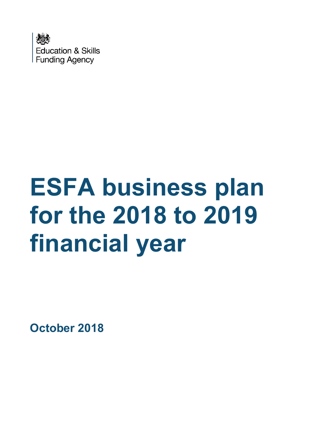

# **ESFA business plan for the 2018 to 2019 financial year**

**October 2018**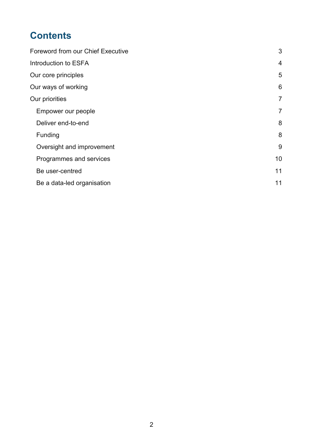# **Contents**

| <b>Foreword from our Chief Executive</b> | 3              |
|------------------------------------------|----------------|
| Introduction to ESFA                     | 4              |
| Our core principles                      | 5              |
| Our ways of working                      | 6              |
| Our priorities                           | $\overline{7}$ |
| Empower our people                       | $\overline{7}$ |
| Deliver end-to-end                       | 8              |
| Funding                                  | 8              |
| Oversight and improvement                | 9              |
| Programmes and services                  | 10             |
| Be user-centred                          | 11             |
| Be a data-led organisation               | 11             |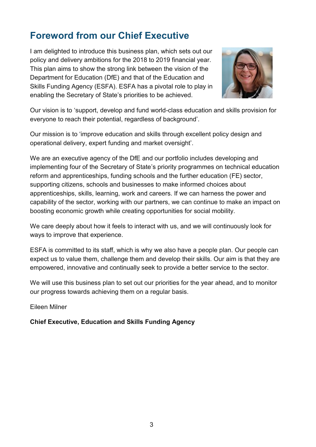# <span id="page-2-0"></span>**Foreword from our Chief Executive**

I am delighted to introduce this business plan, which sets out our policy and delivery ambitions for the 2018 to 2019 financial year. This plan aims to show the strong link between the vision of the Department for Education (DfE) and that of the Education and Skills Funding Agency (ESFA). ESFA has a pivotal role to play in enabling the Secretary of State's priorities to be achieved.



Our vision is to 'support, develop and fund world-class education and skills provision for everyone to reach their potential, regardless of background'.

Our mission is to 'improve education and skills through excellent policy design and operational delivery, expert funding and market oversight'.

We are an executive agency of the DfE and our portfolio includes developing and implementing four of the Secretary of State's priority programmes on technical education reform and apprenticeships, funding schools and the further education (FE) sector, supporting citizens, schools and businesses to make informed choices about apprenticeships, skills, learning, work and careers. If we can harness the power and capability of the sector, working with our partners, we can continue to make an impact on boosting economic growth while creating opportunities for social mobility.

We care deeply about how it feels to interact with us, and we will continuously look for ways to improve that experience.

ESFA is committed to its staff, which is why we also have a people plan. Our people can expect us to value them, challenge them and develop their skills. Our aim is that they are empowered, innovative and continually seek to provide a better service to the sector.

We will use this business plan to set out our priorities for the year ahead, and to monitor our progress towards achieving them on a regular basis.

Eileen Milner

#### **Chief Executive, Education and Skills Funding Agency**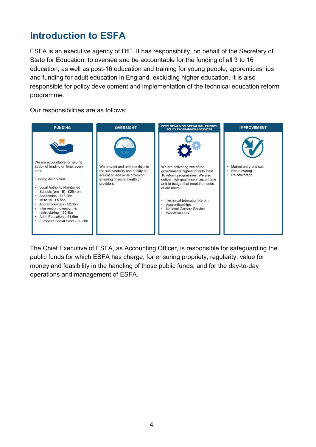# <span id="page-3-0"></span>**Introduction to ESFA**

ESFA is an executive agency of DfE. It has responsibility, on behalf of the Secretary of State for Education, to oversee and be accountable for the funding of all 3 to 16 education, as well as post-16 education and training for young people, apprenticeships and funding for adult education in England, excluding higher education. It is also responsible for policy development and implementation of the technical education reform programme.

Our responsibilities are as follows:



The Chief Executive of ESFA, as Accounting Officer, is responsible for safeguarding the public funds for which ESFA has charge; for ensuring propriety, regularity, value for money and feasibility in the handling of those public funds; and for the day-to-day operations and management of ESFA.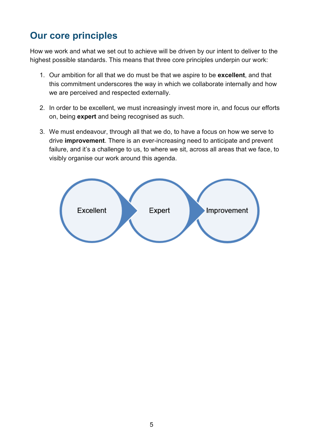# <span id="page-4-0"></span>**Our core principles**

How we work and what we set out to achieve will be driven by our intent to deliver to the highest possible standards. This means that three core principles underpin our work:

- 1. Our ambition for all that we do must be that we aspire to be **excellent**, and that this commitment underscores the way in which we collaborate internally and how we are perceived and respected externally.
- 2. In order to be excellent, we must increasingly invest more in, and focus our efforts on, being **expert** and being recognised as such.
- 3. We must endeavour, through all that we do, to have a focus on how we serve to drive **improvement**. There is an ever-increasing need to anticipate and prevent failure, and it's a challenge to us, to where we sit, across all areas that we face, to visibly organise our work around this agenda.

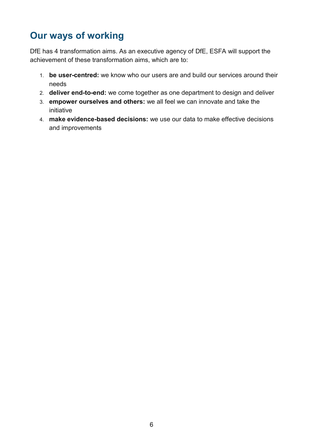# <span id="page-5-0"></span>**Our ways of working**

DfE has 4 transformation aims. As an executive agency of DfE, ESFA will support the achievement of these transformation aims, which are to:

- 1. **be user-centred:** we know who our users are and build our services around their needs
- 2. **deliver end-to-end:** we come together as one department to design and deliver
- 3. **empower ourselves and others:** we all feel we can innovate and take the initiative
- 4. **make evidence-based decisions:** we use our data to make effective decisions and improvements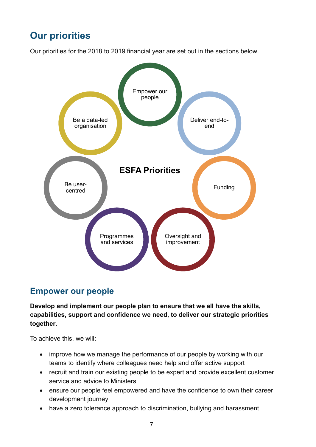# <span id="page-6-0"></span>**Our priorities**

Our priorities for the 2018 to 2019 financial year are set out in the sections below.



## <span id="page-6-1"></span>**Empower our people**

**Develop and implement our people plan to ensure that we all have the skills, capabilities, support and confidence we need, to deliver our strategic priorities together.**

To achieve this, we will:

- improve how we manage the performance of our people by working with our teams to identify where colleagues need help and offer active support
- recruit and train our existing people to be expert and provide excellent customer service and advice to Ministers
- ensure our people feel empowered and have the confidence to own their career development journey
- have a zero tolerance approach to discrimination, bullying and harassment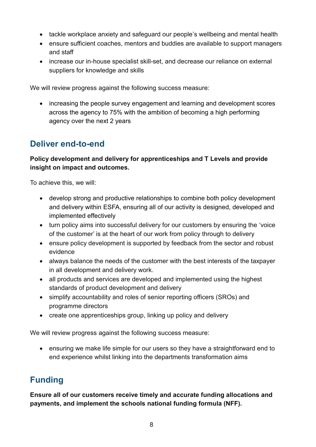- tackle workplace anxiety and safeguard our people's wellbeing and mental health
- ensure sufficient coaches, mentors and buddies are available to support managers and staff
- increase our in-house specialist skill-set, and decrease our reliance on external suppliers for knowledge and skills

We will review progress against the following success measure:

• increasing the people survey engagement and learning and development scores across the agency to 75% with the ambition of becoming a high performing agency over the next 2 years

## <span id="page-7-0"></span>**Deliver end-to-end**

#### **Policy development and delivery for apprenticeships and T Levels and provide insight on impact and outcomes.**

To achieve this, we will:

- develop strong and productive relationships to combine both policy development and delivery within ESFA, ensuring all of our activity is designed, developed and implemented effectively
- turn policy aims into successful delivery for our customers by ensuring the 'voice of the customer' is at the heart of our work from policy through to delivery
- ensure policy development is supported by feedback from the sector and robust evidence
- always balance the needs of the customer with the best interests of the taxpayer in all development and delivery work.
- all products and services are developed and implemented using the highest standards of product development and delivery
- simplify accountability and roles of senior reporting officers (SROs) and programme directors
- create one apprenticeships group, linking up policy and delivery

We will review progress against the following success measure:

 ensuring we make life simple for our users so they have a straightforward end to end experience whilst linking into the departments transformation aims

## <span id="page-7-1"></span>**Funding**

**Ensure all of our customers receive timely and accurate funding allocations and payments, and implement the schools national funding formula (NFF).**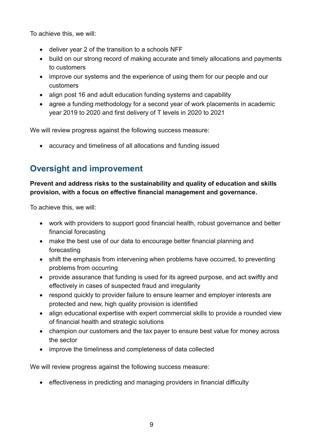To achieve this, we will:

- deliver year 2 of the transition to a schools NFF
- build on our strong record of making accurate and timely allocations and payments to customers
- improve our systems and the experience of using them for our people and our customers
- align post 16 and adult education funding systems and capability
- agree a funding methodology for a second year of work placements in academic year 2019 to 2020 and first delivery of T levels in 2020 to 2021

We will review progress against the following success measure:

accuracy and timeliness of all allocations and funding issued

## <span id="page-8-0"></span>**Oversight and improvement**

#### **Prevent and address risks to the sustainability and quality of education and skills provision, with a focus on effective financial management and governance.**

To achieve this, we will:

- work with providers to support good financial health, robust governance and better financial forecasting
- make the best use of our data to encourage better financial planning and forecasting
- shift the emphasis from intervening when problems have occurred, to preventing problems from occurring
- provide assurance that funding is used for its agreed purpose, and act swiftly and effectively in cases of suspected fraud and irregularity
- respond quickly to provider failure to ensure learner and employer interests are protected and new, high quality provision is identified
- align educational expertise with expert commercial skills to provide a rounded view of financial health and strategic solutions
- champion our customers and the tax payer to ensure best value for money across the sector
- improve the timeliness and completeness of data collected

We will review progress against the following success measure:

effectiveness in predicting and managing providers in financial difficulty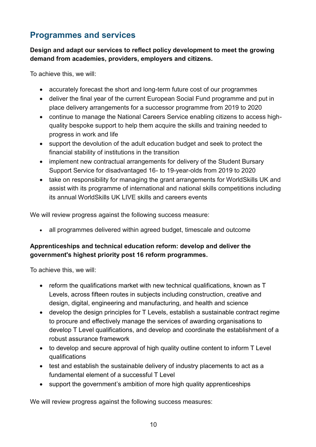## <span id="page-9-0"></span>**Programmes and services**

#### **Design and adapt our services to reflect policy development to meet the growing demand from academies, providers, employers and citizens.**

To achieve this, we will:

- accurately forecast the short and long-term future cost of our programmes
- deliver the final year of the current European Social Fund programme and put in place delivery arrangements for a successor programme from 2019 to 2020
- continue to manage the National Careers Service enabling citizens to access highquality bespoke support to help them acquire the skills and training needed to progress in work and life
- support the devolution of the adult education budget and seek to protect the financial stability of institutions in the transition
- implement new contractual arrangements for delivery of the Student Bursary Support Service for disadvantaged 16- to 19-year-olds from 2019 to 2020
- take on responsibility for managing the grant arrangements for WorldSkills UK and assist with its programme of international and national skills competitions including its annual WorldSkills UK LIVE skills and careers events

We will review progress against the following success measure:

all programmes delivered within agreed budget, timescale and outcome

### **Apprenticeships and technical education reform: develop and deliver the government's highest priority post 16 reform programmes.**

To achieve this, we will:

- reform the qualifications market with new technical qualifications, known as T Levels, across fifteen routes in subjects including construction, creative and design, digital, engineering and manufacturing, and health and science
- develop the design principles for T Levels, establish a sustainable contract regime to procure and effectively manage the services of awarding organisations to develop T Level qualifications, and develop and coordinate the establishment of a robust assurance framework
- to develop and secure approval of high quality outline content to inform T Level qualifications
- test and establish the sustainable delivery of industry placements to act as a fundamental element of a successful T Level
- support the government's ambition of more high quality apprenticeships

We will review progress against the following success measures: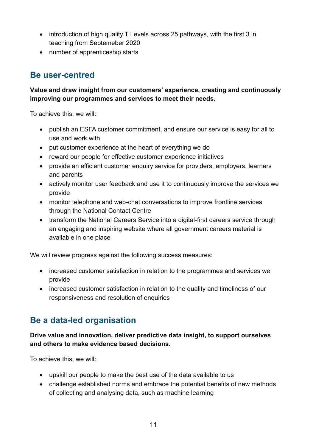- introduction of high quality T Levels across 25 pathways, with the first 3 in teaching from Septemeber 2020
- number of apprenticeship starts

## <span id="page-10-0"></span>**Be user-centred**

**Value and draw insight from our customers' experience, creating and continuously improving our programmes and services to meet their needs.**

To achieve this, we will:

- publish an ESFA customer commitment, and ensure our service is easy for all to use and work with
- put customer experience at the heart of everything we do
- reward our people for effective customer experience initiatives
- provide an efficient customer enquiry service for providers, employers, learners and parents
- actively monitor user feedback and use it to continuously improve the services we provide
- monitor telephone and web-chat conversations to improve frontline services through the National Contact Centre
- transform the National Careers Service into a digital-first careers service through an engaging and inspiring website where all government careers material is available in one place

We will review progress against the following success measures:

- increased customer satisfaction in relation to the programmes and services we provide
- increased customer satisfaction in relation to the quality and timeliness of our responsiveness and resolution of enquiries

## <span id="page-10-1"></span>**Be a data-led organisation**

#### **Drive value and innovation, deliver predictive data insight, to support ourselves and others to make evidence based decisions.**

To achieve this, we will:

- upskill our people to make the best use of the data available to us
- challenge established norms and embrace the potential benefits of new methods of collecting and analysing data, such as machine learning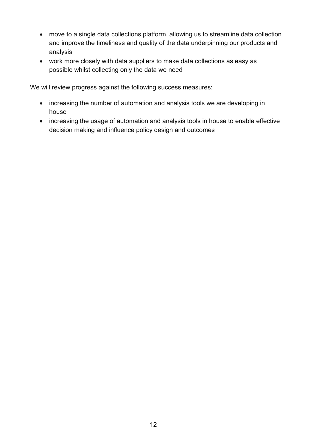- move to a single data collections platform, allowing us to streamline data collection and improve the timeliness and quality of the data underpinning our products and analysis
- work more closely with data suppliers to make data collections as easy as possible whilst collecting only the data we need

We will review progress against the following success measures:

- increasing the number of automation and analysis tools we are developing in house
- increasing the usage of automation and analysis tools in house to enable effective decision making and influence policy design and outcomes